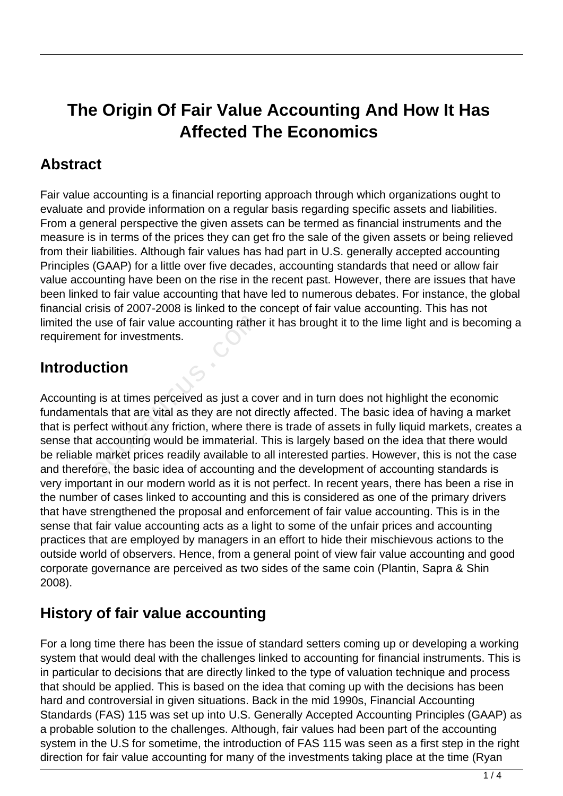# **The Origin Of Fair Value Accounting And How It Has Affected The Economics**

## **Abstract**

Fair value accounting is a financial reporting approach through which organizations ought to evaluate and provide information on a regular basis regarding specific assets and liabilities. From a general perspective the given assets can be termed as financial instruments and the measure is in terms of the prices they can get fro the sale of the given assets or being relieved from their liabilities. Although fair values has had part in U.S. generally accepted accounting Principles (GAAP) for a little over five decades, accounting standards that need or allow fair value accounting have been on the rise in the recent past. However, there are issues that have been linked to fair value accounting that have led to numerous debates. For instance, the global financial crisis of 2007-2008 is linked to the concept of fair value accounting. This has not limited the use of fair value accounting rather it has brought it to the lime light and is becoming a requirement for investments.

#### **Introduction**

Accounting is at times perceived as just a cover and in turn does not highlight the economic fundamentals that are vital as they are not directly affected. The basic idea of having a market that is perfect without any friction, where there is trade of assets in fully liquid markets, creates a sense that accounting would be immaterial. This is largely based on the idea that there would be reliable market prices readily available to all interested parties. However, this is not the case and therefore, the basic idea of accounting and the development of accounting standards is very important in our modern world as it is not perfect. In recent years, there has been a rise in the number of cases linked to accounting and this is considered as one of the primary drivers that have strengthened the proposal and enforcement of fair value accounting. This is in the sense that fair value accounting acts as a light to some of the unfair prices and accounting practices that are employed by managers in an effort to hide their mischievous actions to the outside world of observers. Hence, from a general point of view fair value accounting and good corporate governance are perceived as two sides of the same coin (Plantin, Sapra & Shin 2008). use of fair value accounting rathe<br>
ont for investments.<br> **Ction**<br>
g is at times perceived as just a cortals that are vital as they are not d<br>
ect without any friction, where the<br>
accounting would be immaterial.<br>
market pr

## **History of fair value accounting**

For a long time there has been the issue of standard setters coming up or developing a working system that would deal with the challenges linked to accounting for financial instruments. This is in particular to decisions that are directly linked to the type of valuation technique and process that should be applied. This is based on the idea that coming up with the decisions has been hard and controversial in given situations. Back in the mid 1990s, Financial Accounting Standards (FAS) 115 was set up into U.S. Generally Accepted Accounting Principles (GAAP) as a probable solution to the challenges. Although, fair values had been part of the accounting system in the U.S for sometime, the introduction of FAS 115 was seen as a first step in the right direction for fair value accounting for many of the investments taking place at the time (Ryan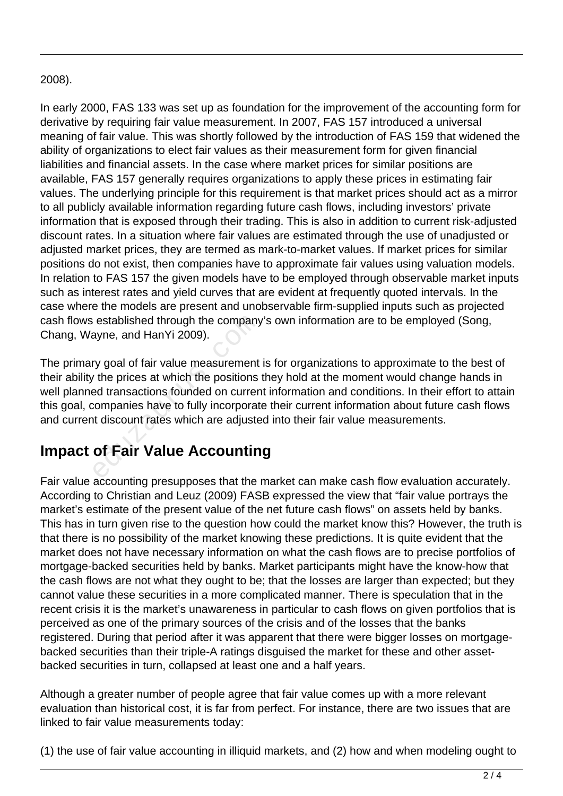#### 2008).

In early 2000, FAS 133 was set up as foundation for the improvement of the accounting form for derivative by requiring fair value measurement. In 2007, FAS 157 introduced a universal meaning of fair value. This was shortly followed by the introduction of FAS 159 that widened the ability of organizations to elect fair values as their measurement form for given financial liabilities and financial assets. In the case where market prices for similar positions are available, FAS 157 generally requires organizations to apply these prices in estimating fair values. The underlying principle for this requirement is that market prices should act as a mirror to all publicly available information regarding future cash flows, including investors' private information that is exposed through their trading. This is also in addition to current risk-adjusted discount rates. In a situation where fair values are estimated through the use of unadjusted or adjusted market prices, they are termed as mark-to-market values. If market prices for similar positions do not exist, then companies have to approximate fair values using valuation models. In relation to FAS 157 the given models have to be employed through observable market inputs such as interest rates and yield curves that are evident at frequently quoted intervals. In the case where the models are present and unobservable firm-supplied inputs such as projected cash flows established through the company's own information are to be employed (Song, Chang, Wayne, and HanYi 2009).

The primary goal of fair value measurement is for organizations to approximate to the best of their ability the prices at which the positions they hold at the moment would change hands in well planned transactions founded on current information and conditions. In their effort to attain this goal, companies have to fully incorporate their current information about future cash flows and current discount rates which are adjusted into their fair value measurements. established through the company<br>ayne, and HanYi 2009).<br>Ty goal of fair value measurement<br>of the prices at which the positions<br>and transactions founded on currencompanies have to fully incorporat<br>at discount rates which are

#### **Impact of Fair Value Accounting**

Fair value accounting presupposes that the market can make cash flow evaluation accurately. According to Christian and Leuz (2009) FASB expressed the view that "fair value portrays the market's estimate of the present value of the net future cash flows" on assets held by banks. This has in turn given rise to the question how could the market know this? However, the truth is that there is no possibility of the market knowing these predictions. It is quite evident that the market does not have necessary information on what the cash flows are to precise portfolios of mortgage-backed securities held by banks. Market participants might have the know-how that the cash flows are not what they ought to be; that the losses are larger than expected; but they cannot value these securities in a more complicated manner. There is speculation that in the recent crisis it is the market's unawareness in particular to cash flows on given portfolios that is perceived as one of the primary sources of the crisis and of the losses that the banks registered. During that period after it was apparent that there were bigger losses on mortgagebacked securities than their triple-A ratings disguised the market for these and other assetbacked securities in turn, collapsed at least one and a half years.

Although a greater number of people agree that fair value comes up with a more relevant evaluation than historical cost, it is far from perfect. For instance, there are two issues that are linked to fair value measurements today:

(1) the use of fair value accounting in illiquid markets, and (2) how and when modeling ought to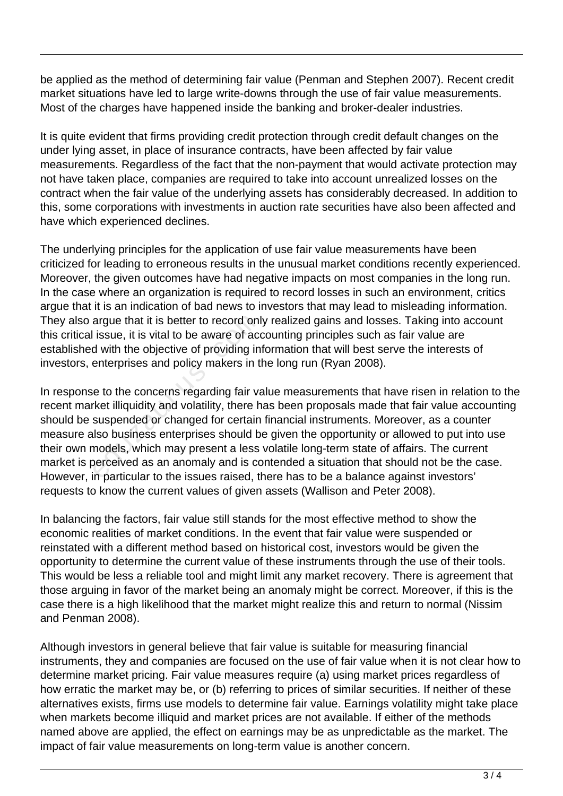be applied as the method of determining fair value (Penman and Stephen 2007). Recent credit market situations have led to large write-downs through the use of fair value measurements. Most of the charges have happened inside the banking and broker-dealer industries.

It is quite evident that firms providing credit protection through credit default changes on the under lying asset, in place of insurance contracts, have been affected by fair value measurements. Regardless of the fact that the non-payment that would activate protection may not have taken place, companies are required to take into account unrealized losses on the contract when the fair value of the underlying assets has considerably decreased. In addition to this, some corporations with investments in auction rate securities have also been affected and have which experienced declines.

The underlying principles for the application of use fair value measurements have been criticized for leading to erroneous results in the unusual market conditions recently experienced. Moreover, the given outcomes have had negative impacts on most companies in the long run. In the case where an organization is required to record losses in such an environment, critics argue that it is an indication of bad news to investors that may lead to misleading information. They also argue that it is better to record only realized gains and losses. Taking into account this critical issue, it is vital to be aware of accounting principles such as fair value are established with the objective of providing information that will best serve the interests of investors, enterprises and policy makers in the long run (Ryan 2008).

In response to the concerns regarding fair value measurements that have risen in relation to the recent market illiquidity and volatility, there has been proposals made that fair value accounting should be suspended or changed for certain financial instruments. Moreover, as a counter measure also business enterprises should be given the opportunity or allowed to put into use their own models, which may present a less volatile long-term state of affairs. The current market is perceived as an anomaly and is contended a situation that should not be the case. However, in particular to the issues raised, there has to be a balance against investors' requests to know the current values of given assets (Wallison and Peter 2008). argue that it is better to record onl<br>issue, it is vital to be aware of acd<br>d with the objective of providing in<br>enterprises and policy makers in t<br>e to the concerns regarding fair variable<br>where the suspended or changed f

In balancing the factors, fair value still stands for the most effective method to show the economic realities of market conditions. In the event that fair value were suspended or reinstated with a different method based on historical cost, investors would be given the opportunity to determine the current value of these instruments through the use of their tools. This would be less a reliable tool and might limit any market recovery. There is agreement that those arguing in favor of the market being an anomaly might be correct. Moreover, if this is the case there is a high likelihood that the market might realize this and return to normal (Nissim and Penman 2008).

Although investors in general believe that fair value is suitable for measuring financial instruments, they and companies are focused on the use of fair value when it is not clear how to determine market pricing. Fair value measures require (a) using market prices regardless of how erratic the market may be, or (b) referring to prices of similar securities. If neither of these alternatives exists, firms use models to determine fair value. Earnings volatility might take place when markets become illiquid and market prices are not available. If either of the methods named above are applied, the effect on earnings may be as unpredictable as the market. The impact of fair value measurements on long-term value is another concern.